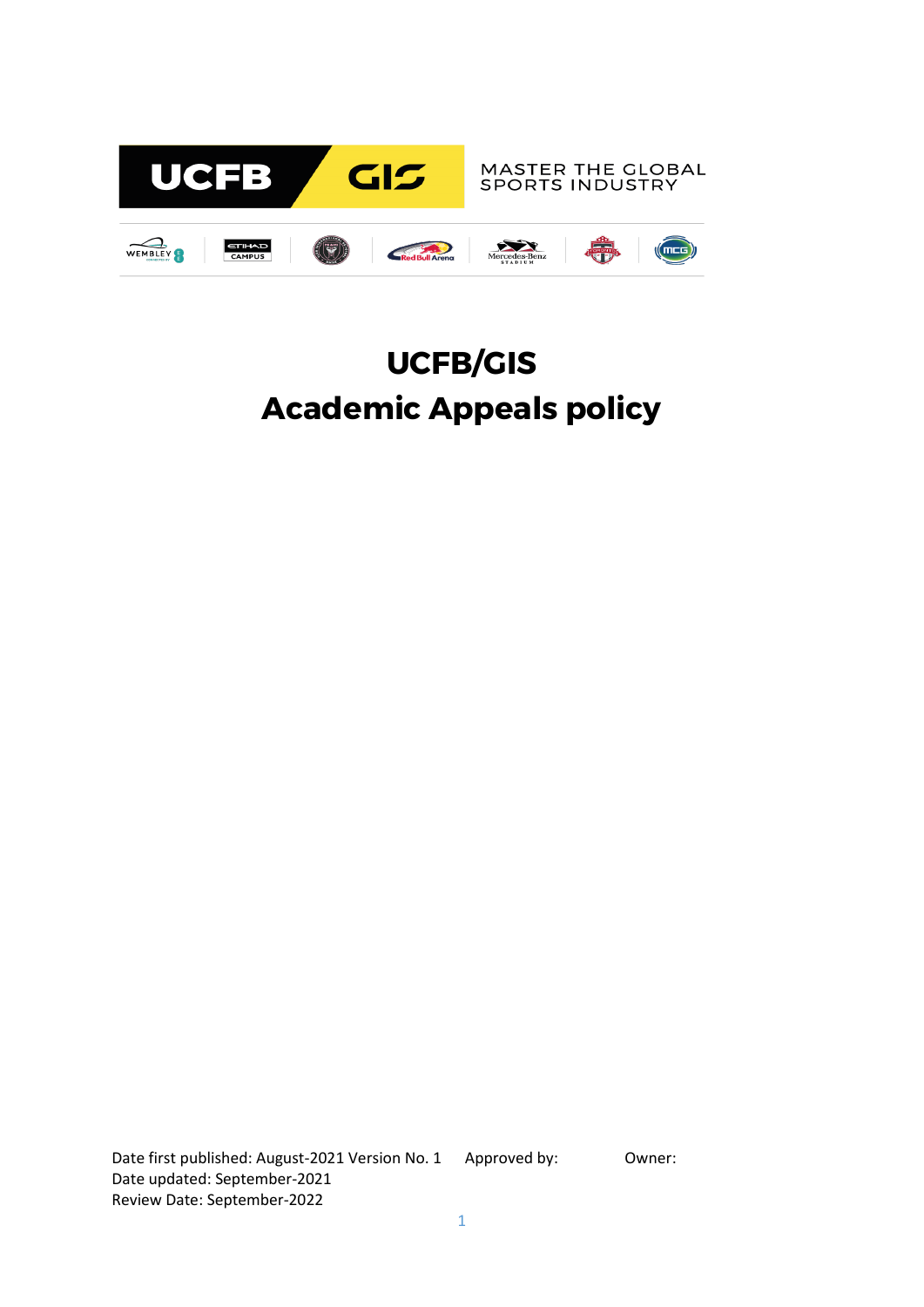

# **UCFB/GIS Academic Appeals policy**

Date first published: August-2021 Version No. 1 Approved by: 0wner: Date updated: September-2021 Review Date: September-2022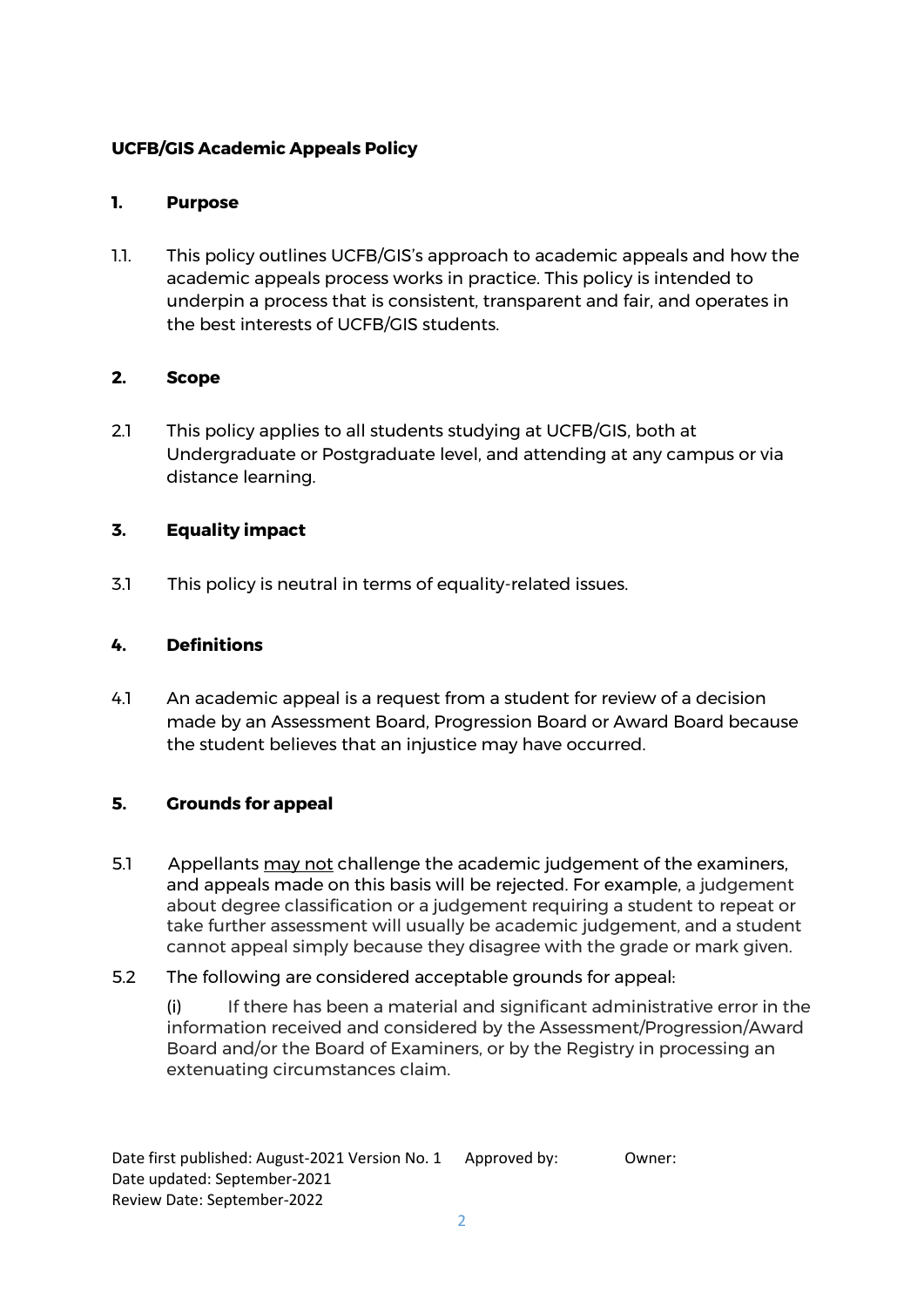# **UCFB/GIS Academic Appeals Policy**

### **1. Purpose**

1.1. This policy outlines UCFB/GIS's approach to academic appeals and how the academic appeals process works in practice. This policy is intended to underpin a process that is consistent, transparent and fair, and operates in the best interests of UCFB/GIS students.

# **2. Scope**

2.1 This policy applies to all students studying at UCFB/GIS, both at Undergraduate or Postgraduate level, and attending at any campus or via distance learning.

# **3. Equality impact**

3.1 This policy is neutral in terms of equality-related issues.

# **4. Definitions**

4.1 An academic appeal is a request from a student for review of a decision made by an Assessment Board, Progression Board or Award Board because the student believes that an injustice may have occurred.

### **5. Grounds for appeal**

5.1 Appellants may not challenge the academic judgement of the examiners, and appeals made on this basis will be rejected. For example, a judgement about degree classification or a judgement requiring a student to repeat or take further assessment will usually be academic judgement, and a student cannot appeal simply because they disagree with the grade or mark given.

### 5.2 The following are considered acceptable grounds for appeal:

(i) If there has been a material and significant administrative error in the information received and considered by the Assessment/Progression/Award Board and/or the Board of Examiners, or by the Registry in processing an extenuating circumstances claim.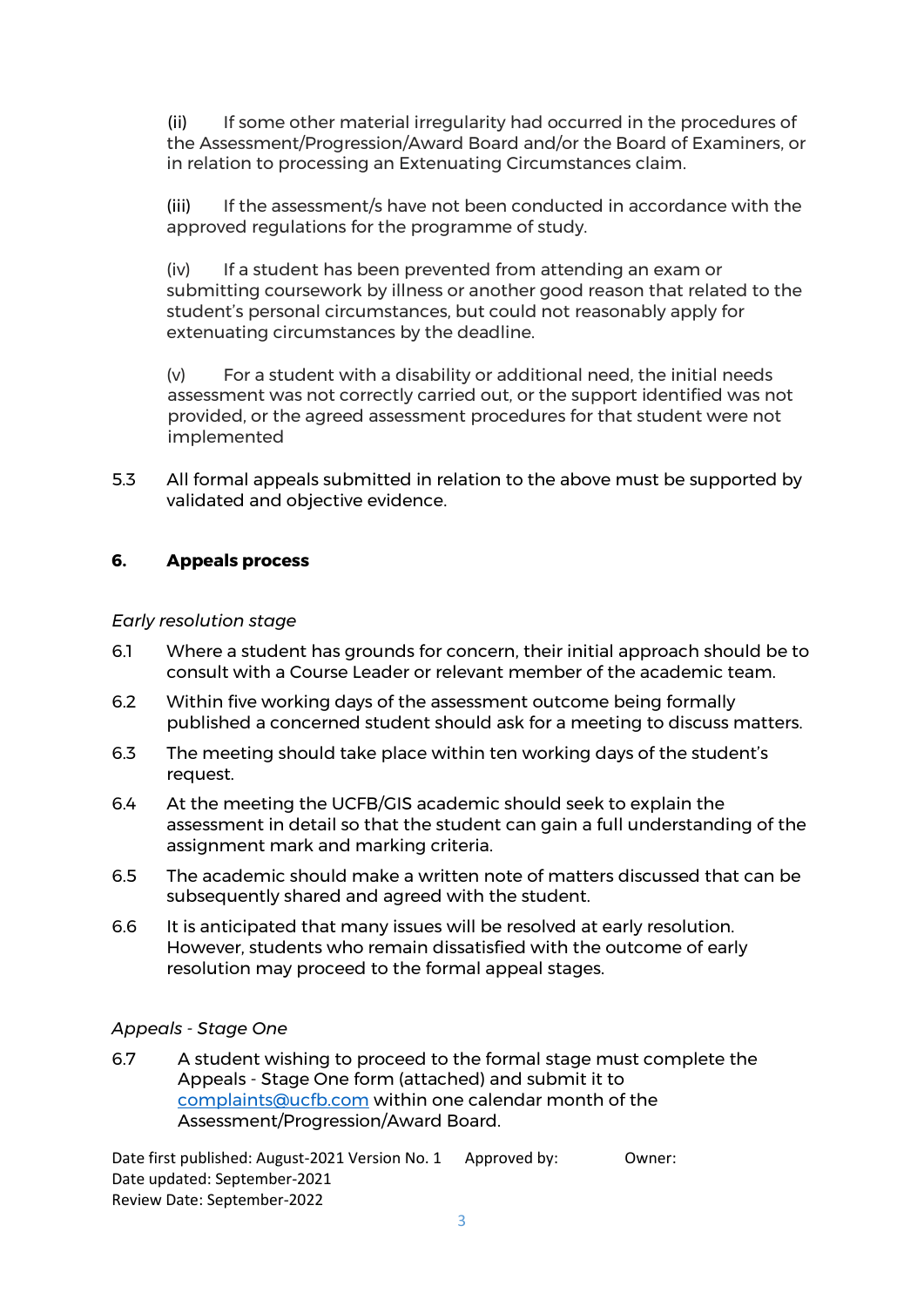(ii) If some other material irregularity had occurred in the procedures of the Assessment/Progression/Award Board and/or the Board of Examiners, or in relation to processing an Extenuating Circumstances claim.

(iii) If the assessment/s have not been conducted in accordance with the approved regulations for the programme of study.

(iv) If a student has been prevented from attending an exam or submitting coursework by illness or another good reason that related to the student's personal circumstances, but could not reasonably apply for extenuating circumstances by the deadline.

(v) For a student with a disability or additional need, the initial needs assessment was not correctly carried out, or the support identified was not provided, or the agreed assessment procedures for that student were not implemented

5.3 All formal appeals submitted in relation to the above must be supported by validated and objective evidence.

### **6. Appeals process**

#### *Early resolution stage*

- 6.1 Where a student has grounds for concern, their initial approach should be to consult with a Course Leader or relevant member of the academic team.
- 6.2 Within five working days of the assessment outcome being formally published a concerned student should ask for a meeting to discuss matters.
- 6.3 The meeting should take place within ten working days of the student's request.
- 6.4 At the meeting the UCFB/GIS academic should seek to explain the assessment in detail so that the student can gain a full understanding of the assignment mark and marking criteria.
- 6.5 The academic should make a written note of matters discussed that can be subsequently shared and agreed with the student.
- 6.6 It is anticipated that many issues will be resolved at early resolution. However, students who remain dissatisfied with the outcome of early resolution may proceed to the formal appeal stages.

#### *Appeals - Stage One*

6.7 A student wishing to proceed to the formal stage must complete the Appeals - Stage One form (attached) and submit it to [complaints@ucfb.com](mailto:complaints@ucfb.com) within one calendar month of the Assessment/Progression/Award Board.

Date first published: August-2021 Version No. 1 Approved by: Owner: Date updated: September-2021 Review Date: September-2022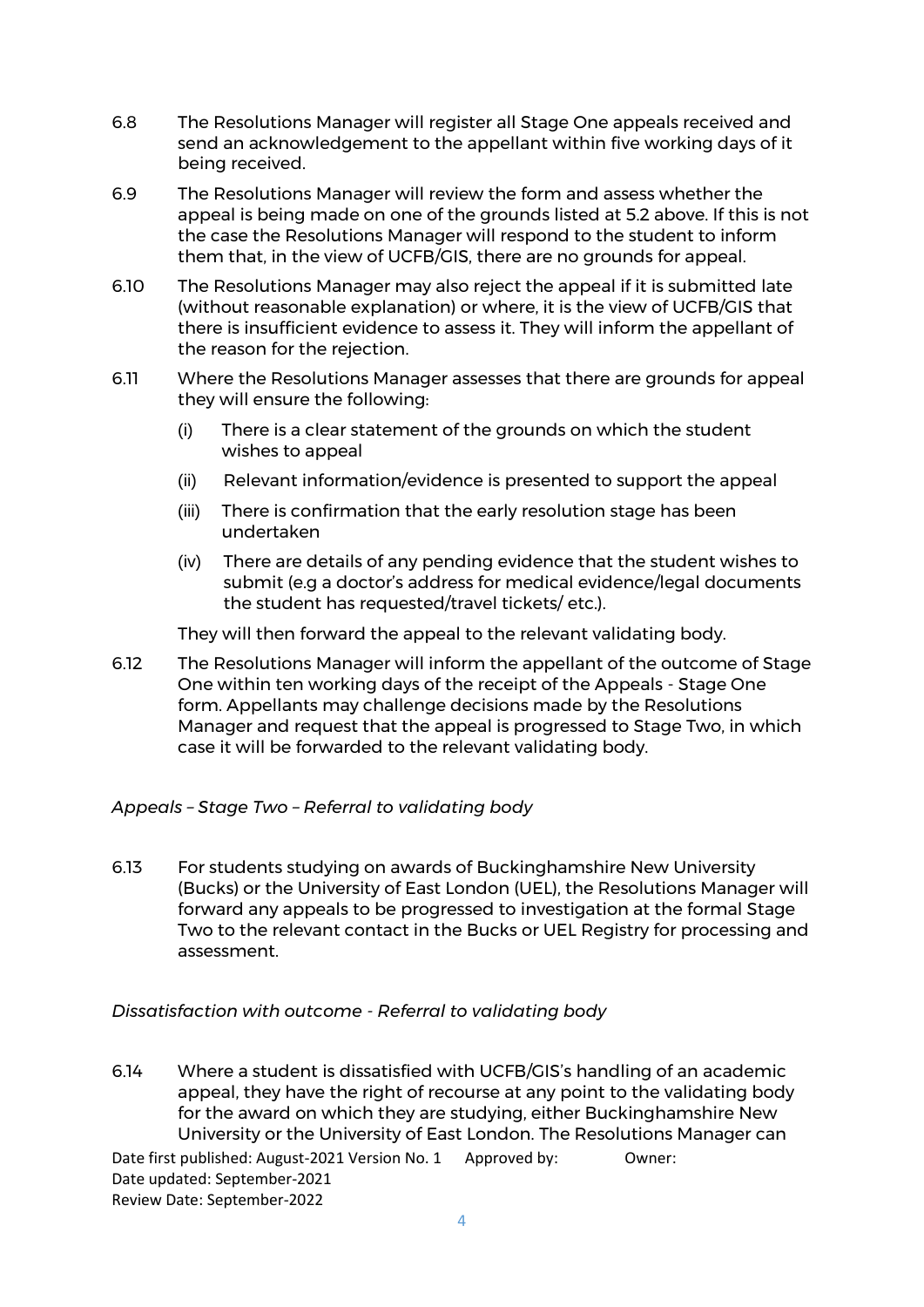- 6.8 The Resolutions Manager will register all Stage One appeals received and send an acknowledgement to the appellant within five working days of it being received.
- 6.9 The Resolutions Manager will review the form and assess whether the appeal is being made on one of the grounds listed at 5.2 above. If this is not the case the Resolutions Manager will respond to the student to inform them that, in the view of UCFB/GIS, there are no grounds for appeal.
- 6.10 The Resolutions Manager may also reject the appeal if it is submitted late (without reasonable explanation) or where, it is the view of UCFB/GIS that there is insufficient evidence to assess it. They will inform the appellant of the reason for the rejection.
- 6.11 Where the Resolutions Manager assesses that there are grounds for appeal they will ensure the following:
	- (i) There is a clear statement of the grounds on which the student wishes to appeal
	- (ii) Relevant information/evidence is presented to support the appeal
	- (iii) There is confirmation that the early resolution stage has been undertaken
	- (iv) There are details of any pending evidence that the student wishes to submit (e.g a doctor's address for medical evidence/legal documents the student has requested/travel tickets/ etc.).

They will then forward the appeal to the relevant validating body.

6.12 The Resolutions Manager will inform the appellant of the outcome of Stage One within ten working days of the receipt of the Appeals - Stage One form. Appellants may challenge decisions made by the Resolutions Manager and request that the appeal is progressed to Stage Two, in which case it will be forwarded to the relevant validating body.

### *Appeals – Stage Two – Referral to validating body*

6.13 For students studying on awards of Buckinghamshire New University (Bucks) or the University of East London (UEL), the Resolutions Manager will forward any appeals to be progressed to investigation at the formal Stage Two to the relevant contact in the Bucks or UEL Registry for processing and assessment.

### *Dissatisfaction with outcome - Referral to validating body*

Date first published: August-2021 Version No. 1 Approved by: Owner: Date updated: September-2021 6.14 Where a student is dissatisfied with UCFB/GIS's handling of an academic appeal, they have the right of recourse at any point to the validating body for the award on which they are studying, either Buckinghamshire New University or the University of East London. The Resolutions Manager can

Review Date: September-2022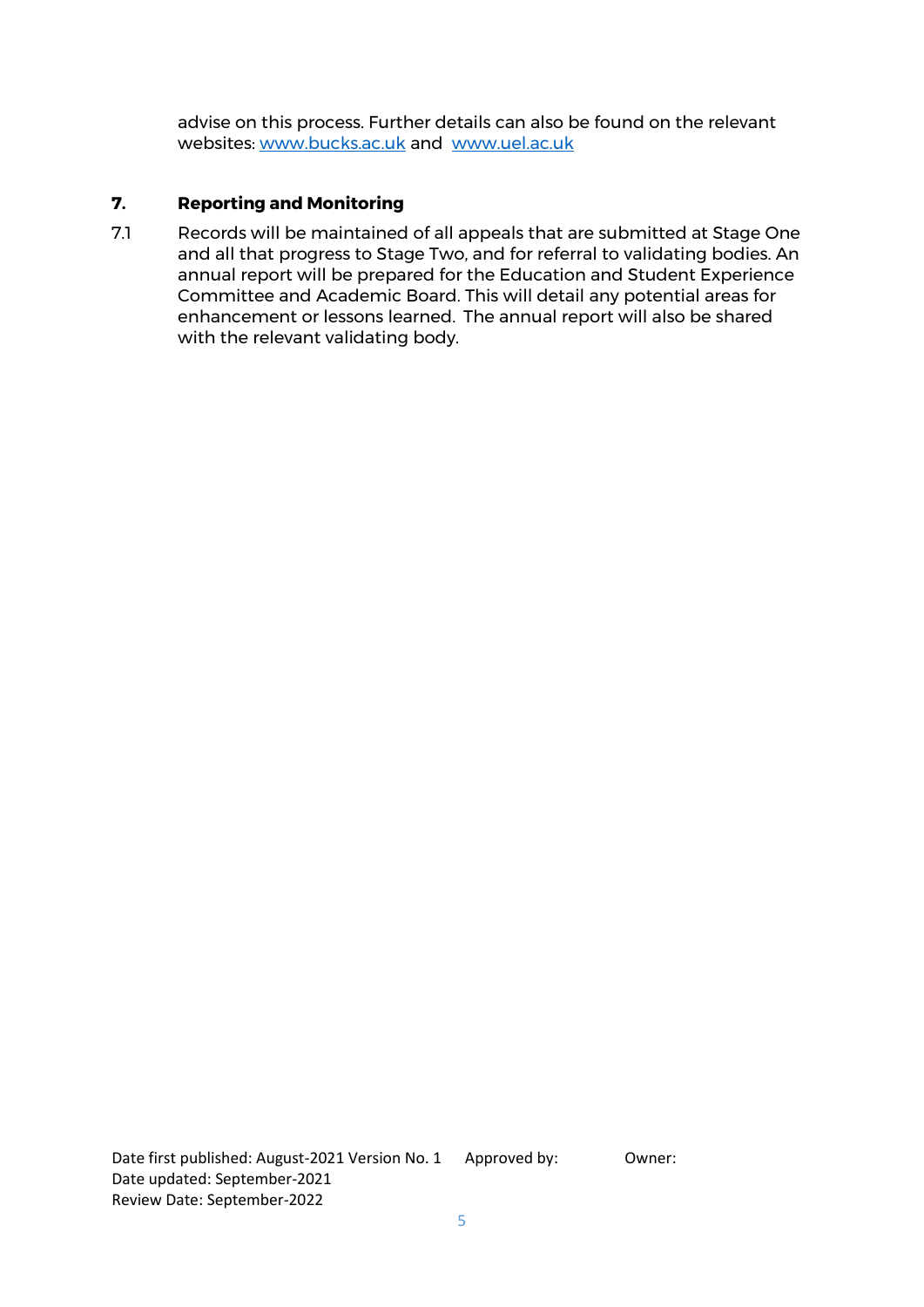advise on this process. Further details can also be found on the relevant websites: [www.bucks.ac.uk](http://www.bucks.ac.uk/) and [www.uel.ac.uk](http://www.uel.ac.uk/)

## **7. Reporting and Monitoring**

7.1 Records will be maintained of all appeals that are submitted at Stage One and all that progress to Stage Two, and for referral to validating bodies. An annual report will be prepared for the Education and Student Experience Committee and Academic Board. This will detail any potential areas for enhancement or lessons learned. The annual report will also be shared with the relevant validating body.

Date first published: August-2021 Version No. 1 Approved by: 0wner: Date updated: September-2021 Review Date: September-2022